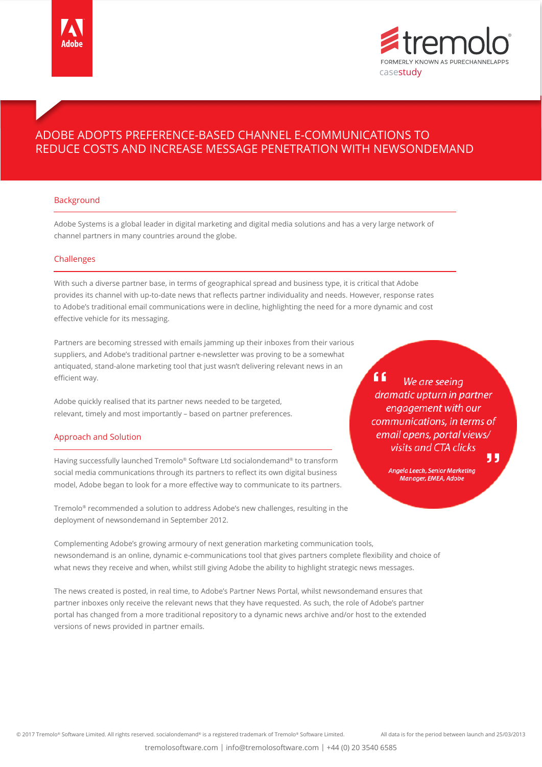



# ADOBE ADOPTS PREFERENCE-BASED CHANNEL E-COMMUNICATIONS TO REDUCE COSTS AND INCREASE MESSAGE PENETRATION WITH NEWSONDEMAND

## Background

Adobe Systems is a global leader in digital marketing and digital media solutions and has a very large network of channel partners in many countries around the globe.

## Challenges

With such a diverse partner base, in terms of geographical spread and business type, it is critical that Adobe provides its channel with up-to-date news that reflects partner individuality and needs. However, response rates to Adobe's traditional email communications were in decline, highlighting the need for a more dynamic and cost effective vehicle for its messaging.

Partners are becoming stressed with emails jamming up their inboxes from their various suppliers, and Adobe's traditional partner e-newsletter was proving to be a somewhat antiquated, stand-alone marketing tool that just wasn't delivering relevant news in an efficient way.

Adobe quickly realised that its partner news needed to be targeted, relevant, timely and most importantly – based on partner preferences.

## Approach and Solution

Having successfully launched Tremolo® Software Ltd socialondemand® to transform social media communications through its partners to reflect its own digital business model, Adobe began to look for a more effective way to communicate to its partners.

Tremolo® recommended a solution to address Adobe's new challenges, resulting in the deployment of newsondemand in September 2012.

" We are seeing dramatic upturn in partner engagement with our communications, in terms of email opens, portal views/ visits and CTA clicks

33

Angela Leech, Senior Marketing Manager, EMEA, Adobe

Complementing Adobe's growing armoury of next generation marketing communication tools, newsondemand is an online, dynamic e-communications tool that gives partners complete flexibility and choice of what news they receive and when, whilst still giving Adobe the ability to highlight strategic news messages.

The news created is posted, in real time, to Adobe's Partner News Portal, whilst newsondemand ensures that partner inboxes only receive the relevant news that they have requested. As such, the role of Adobe's partner portal has changed from a more traditional repository to a dynamic news archive and/or host to the extended versions of news provided in partner emails.